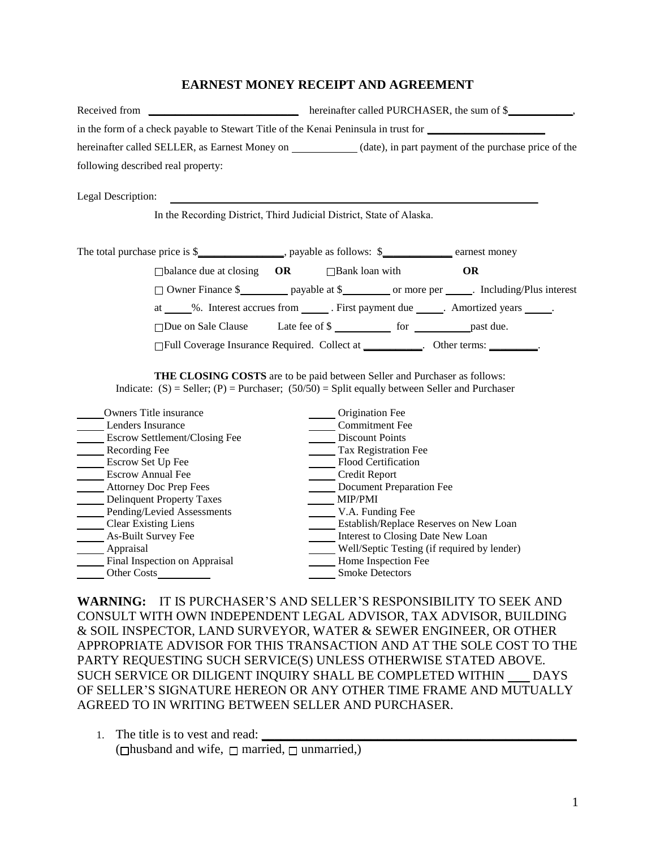## **EARNEST MONEY RECEIPT AND AGREEMENT**

| Received from                                                                       | hereinafter called PURCHASER, the sum of \$          |  |  |  |  |  |  |
|-------------------------------------------------------------------------------------|------------------------------------------------------|--|--|--|--|--|--|
| in the form of a check payable to Stewart Title of the Kenai Peninsula in trust for |                                                      |  |  |  |  |  |  |
| hereinafter called SELLER, as Earnest Money on                                      | (date), in part payment of the purchase price of the |  |  |  |  |  |  |
| following described real property:                                                  |                                                      |  |  |  |  |  |  |

Legal Description:

In the Recording District, Third Judicial District, State of Alaska.

|                                                                                                       | The total purchase price is \$_______________________, payable as follows: \$____________ earnest money |                       |  |    |           |  |
|-------------------------------------------------------------------------------------------------------|---------------------------------------------------------------------------------------------------------|-----------------------|--|----|-----------|--|
| $\Box$ balance due at closing $\Box$ <b>OR</b>                                                        |                                                                                                         | $\Box$ Bank loan with |  | OR |           |  |
| □ Owner Finance \$ ____________ payable at \$ __________ or more per _______. Including/Plus interest |                                                                                                         |                       |  |    |           |  |
| %. Interest accrues from _______. First payment due ______. Amortized years _____.<br>at              |                                                                                                         |                       |  |    |           |  |
| $\Box$ Due on Sale Clause                                                                             |                                                                                                         |                       |  |    | past due. |  |
| □ Full Coverage Insurance Required. Collect at __________. Other terms: ________.                     |                                                                                                         |                       |  |    |           |  |

**THE CLOSING COSTS** are to be paid between Seller and Purchaser as follows: Indicate:  $(S)$  = Seller;  $(P)$  = Purchaser;  $(50/50)$  = Split equally between Seller and Purchaser

| Owners Title insurance           | Origination Fee                             |
|----------------------------------|---------------------------------------------|
| Lenders Insurance                | <b>Commitment Fee</b>                       |
| Escrow Settlement/Closing Fee    | <b>Discount Points</b>                      |
| Recording Fee                    | Tax Registration Fee                        |
| Escrow Set Up Fee                | Flood Certification                         |
| <b>Escrow Annual Fee</b>         | Credit Report                               |
| Attorney Doc Prep Fees           | Document Preparation Fee                    |
| <b>Delinquent Property Taxes</b> | <b>MIP/PMI</b>                              |
| Pending/Levied Assessments       | V.A. Funding Fee                            |
| <b>Clear Existing Liens</b>      | Establish/Replace Reserves on New Loan      |
| As-Built Survey Fee              | Interest to Closing Date New Loan           |
| Appraisal                        | Well/Septic Testing (if required by lender) |
| Final Inspection on Appraisal    | Home Inspection Fee                         |
| <b>Other Costs</b>               | <b>Smoke Detectors</b>                      |

**WARNING:** IT IS PURCHASER'S AND SELLER'S RESPONSIBILITY TO SEEK AND CONSULT WITH OWN INDEPENDENT LEGAL ADVISOR, TAX ADVISOR, BUILDING & SOIL INSPECTOR, LAND SURVEYOR, WATER & SEWER ENGINEER, OR OTHER APPROPRIATE ADVISOR FOR THIS TRANSACTION AND AT THE SOLE COST TO THE PARTY REQUESTING SUCH SERVICE(S) UNLESS OTHERWISE STATED ABOVE. SUCH SERVICE OR DILIGENT INQUIRY SHALL BE COMPLETED WITHIN DAYS OF SELLER'S SIGNATURE HEREON OR ANY OTHER TIME FRAME AND MUTUALLY AGREED TO IN WRITING BETWEEN SELLER AND PURCHASER.

<sup>1.</sup> The title is to vest and read: **\_\_\_\_\_\_\_\_\_\_\_\_\_\_\_\_\_\_\_\_\_\_\_\_\_\_\_\_\_\_\_\_\_\_\_\_\_\_\_\_\_\_\_\_\_\_\_\_\_** ( $\Box$ husband and wife,  $\Box$  married,  $\Box$  unmarried,)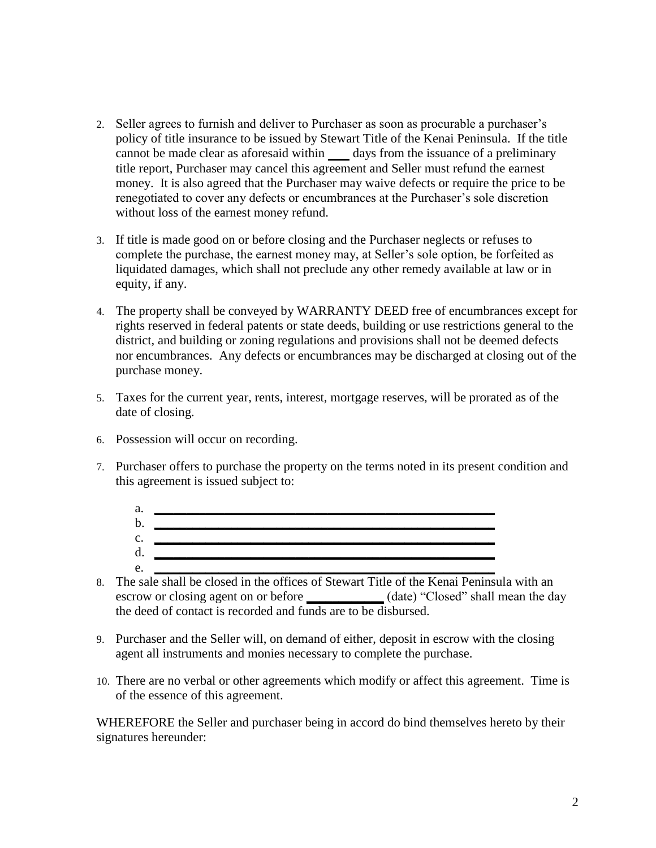- 2. Seller agrees to furnish and deliver to Purchaser as soon as procurable a purchaser's policy of title insurance to be issued by Stewart Title of the Kenai Peninsula. If the title cannot be made clear as aforesaid within days from the issuance of a preliminary title report, Purchaser may cancel this agreement and Seller must refund the earnest money. It is also agreed that the Purchaser may waive defects or require the price to be renegotiated to cover any defects or encumbrances at the Purchaser's sole discretion without loss of the earnest money refund.
- 3. If title is made good on or before closing and the Purchaser neglects or refuses to complete the purchase, the earnest money may, at Seller's sole option, be forfeited as liquidated damages, which shall not preclude any other remedy available at law or in equity, if any.
- 4. The property shall be conveyed by WARRANTY DEED free of encumbrances except for rights reserved in federal patents or state deeds, building or use restrictions general to the district, and building or zoning regulations and provisions shall not be deemed defects nor encumbrances. Any defects or encumbrances may be discharged at closing out of the purchase money.
- 5. Taxes for the current year, rents, interest, mortgage reserves, will be prorated as of the date of closing.
- 6. Possession will occur on recording.
- 7. Purchaser offers to purchase the property on the terms noted in its present condition and this agreement is issued subject to:



- 8. The sale shall be closed in the offices of Stewart Title of the Kenai Peninsula with an escrow or closing agent on or before **\_\_\_\_\_\_\_\_\_\_** (date) "Closed" shall mean the day the deed of contact is recorded and funds are to be disbursed.
- 9. Purchaser and the Seller will, on demand of either, deposit in escrow with the closing agent all instruments and monies necessary to complete the purchase.
- 10. There are no verbal or other agreements which modify or affect this agreement. Time is of the essence of this agreement.

WHEREFORE the Seller and purchaser being in accord do bind themselves hereto by their signatures hereunder: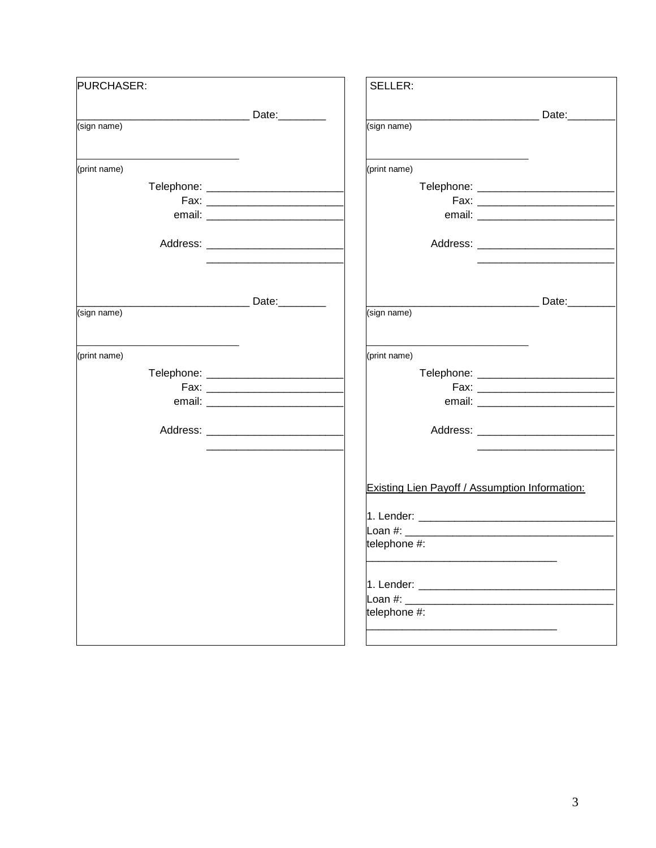| PURCHASER:   | SELLER:                                                                                                         |                                       |
|--------------|-----------------------------------------------------------------------------------------------------------------|---------------------------------------|
|              |                                                                                                                 | Date:                                 |
| (sign name)  | (sign name)                                                                                                     |                                       |
| (print name) | (print name)                                                                                                    |                                       |
|              |                                                                                                                 |                                       |
|              |                                                                                                                 |                                       |
|              |                                                                                                                 |                                       |
|              |                                                                                                                 |                                       |
|              |                                                                                                                 |                                       |
|              |                                                                                                                 | _________________________Date:_______ |
| (sign name)  | (sign name)                                                                                                     |                                       |
| (print name) | the control of the control of the control of the control of the control of<br>(print name)                      |                                       |
|              |                                                                                                                 |                                       |
|              |                                                                                                                 |                                       |
|              |                                                                                                                 |                                       |
|              |                                                                                                                 |                                       |
|              |                                                                                                                 |                                       |
|              | Existing Lien Payoff / Assumption Information:                                                                  |                                       |
|              |                                                                                                                 |                                       |
|              |                                                                                                                 |                                       |
|              | telephone #:                                                                                                    |                                       |
|              |                                                                                                                 |                                       |
|              | Loan #: will be a set of the set of the set of the set of the set of the set of the set of the set of the set o |                                       |
|              | telephone #:                                                                                                    |                                       |
|              |                                                                                                                 |                                       |